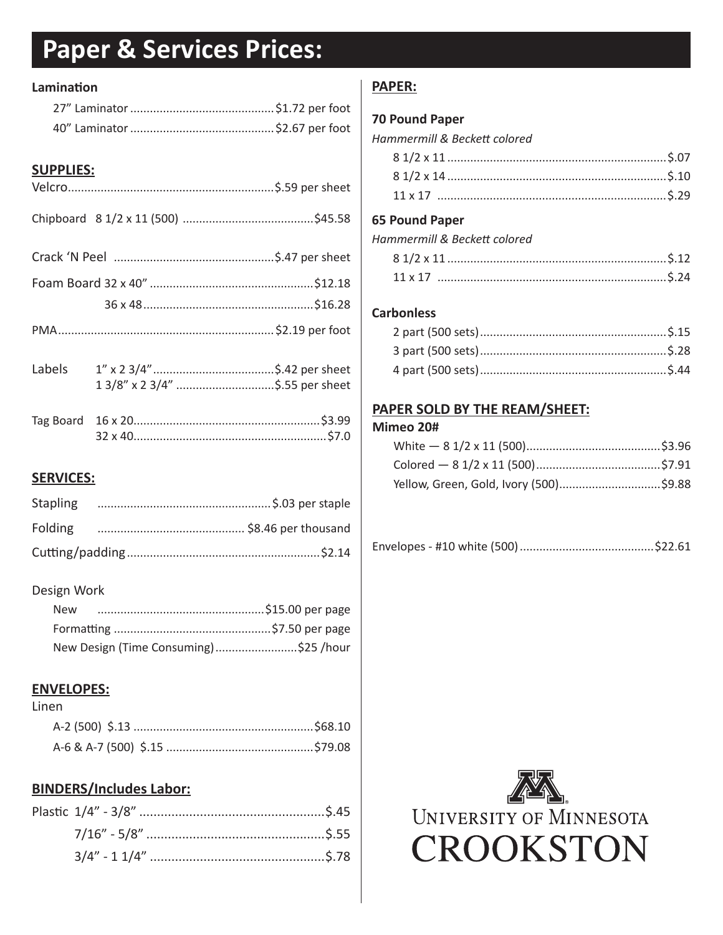# **Paper & Services Prices:**

#### Lamination

# **SUPPLIES:**

| Labels           | 1 3/8" x 2 3/4" \$.55 per sheet |
|------------------|---------------------------------|
|                  |                                 |
| <b>SERVICES:</b> |                                 |

| Stapling |  |
|----------|--|
|          |  |
|          |  |

#### Design Work

| New |                                       |  |
|-----|---------------------------------------|--|
|     |                                       |  |
|     | New Design (Time Consuming)\$25 /hour |  |

# **ENVELOPES:**

#### Linen

# **BINDERS/Includes Labor:**

# **PAPER:**

#### **70 Pound Paper**

| Hammermill & Beckett colored |  |  |  |  |  |
|------------------------------|--|--|--|--|--|
|------------------------------|--|--|--|--|--|

#### **65 Pound Paper**

| Hammermill & Beckett colored |  |
|------------------------------|--|
|                              |  |

| $\begin{array}{c}\n\vdots \\ \vdots \\ \vdots\n\end{array}$<br>$11 \times 17$ |  |
|-------------------------------------------------------------------------------|--|

### **Carbonless**

# PAPER SOLD BY THE REAM/SHEET:

#### Mimeo 20#

|--|--|--|